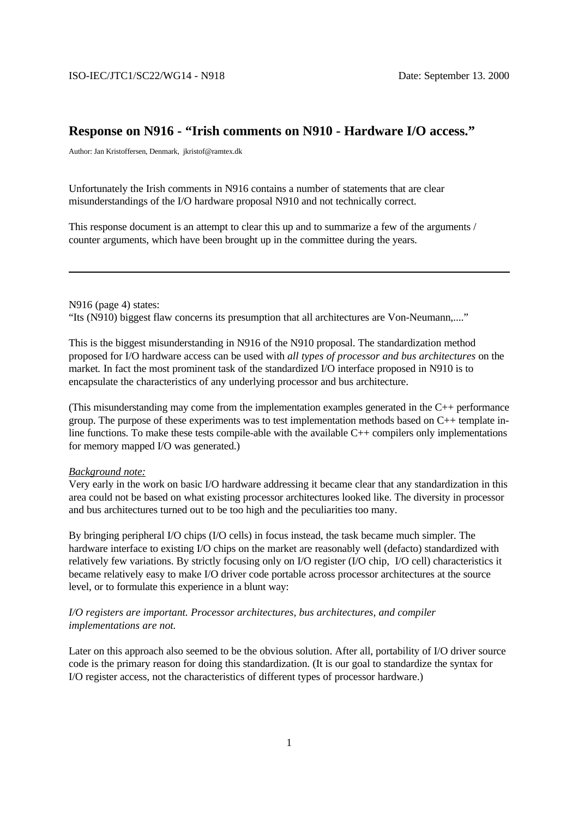## **Response on N916 - "Irish comments on N910 - Hardware I/O access."**

Author: Jan Kristoffersen, Denmark, jkristof@ramtex.dk

Unfortunately the Irish comments in N916 contains a number of statements that are clear misunderstandings of the I/O hardware proposal N910 and not technically correct.

This response document is an attempt to clear this up and to summarize a few of the arguments / counter arguments, which have been brought up in the committee during the years.

N916 (page 4) states: "Its (N910) biggest flaw concerns its presumption that all architectures are Von-Neumann,...."

This is the biggest misunderstanding in N916 of the N910 proposal. The standardization method proposed for I/O hardware access can be used with *all types of processor and bus architectures* on the market*.* In fact the most prominent task of the standardized I/O interface proposed in N910 is to encapsulate the characteristics of any underlying processor and bus architecture.

(This misunderstanding may come from the implementation examples generated in the C++ performance group. The purpose of these experiments was to test implementation methods based on C++ template inline functions. To make these tests compile-able with the available C++ compilers only implementations for memory mapped I/O was generated.)

#### *Background note:*

Very early in the work on basic I/O hardware addressing it became clear that any standardization in this area could not be based on what existing processor architectures looked like. The diversity in processor and bus architectures turned out to be too high and the peculiarities too many.

By bringing peripheral I/O chips (I/O cells) in focus instead, the task became much simpler. The hardware interface to existing I/O chips on the market are reasonably well (defacto) standardized with relatively few variations. By strictly focusing only on I/O register (I/O chip, I/O cell) characteristics it became relatively easy to make I/O driver code portable across processor architectures at the source level, or to formulate this experience in a blunt way:

## *I/O registers are important. Processor architectures, bus architectures, and compiler implementations are not.*

Later on this approach also seemed to be the obvious solution. After all, portability of I/O driver source code is the primary reason for doing this standardization. (It is our goal to standardize the syntax for I/O register access, not the characteristics of different types of processor hardware.)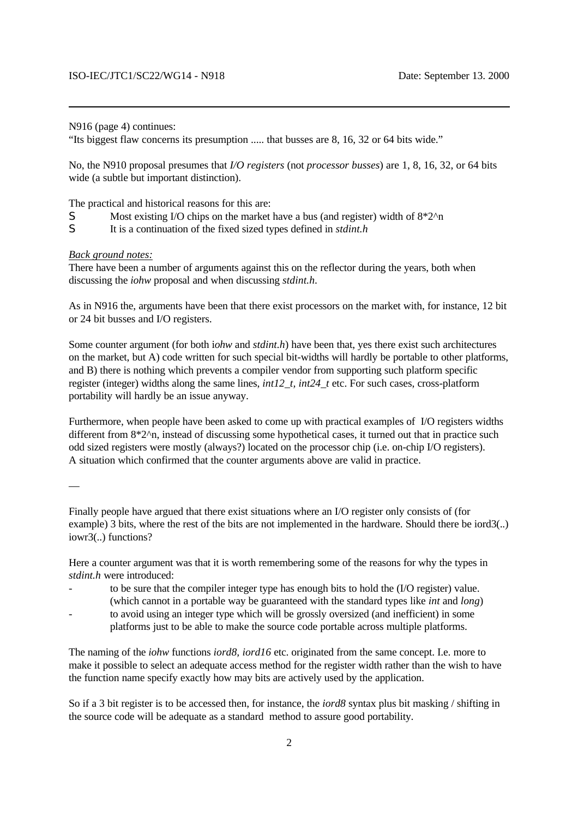N916 (page 4) continues:

"Its biggest flaw concerns its presumption ..... that busses are 8, 16, 32 or 64 bits wide."

No, the N910 proposal presumes that *I/O registers* (not *processor busses*) are 1, 8, 16, 32, or 64 bits wide (a subtle but important distinction).

The practical and historical reasons for this are:

- S Most existing I/O chips on the market have a bus (and register) width of  $8*2^n$ n
- S It is a continuation of the fixed sized types defined in *stdint.h*

#### *Back ground notes:*

There have been a number of arguments against this on the reflector during the years, both when discussing the *iohw* proposal and when discussing *stdint.h*.

As in N916 the, arguments have been that there exist processors on the market with, for instance, 12 bit or 24 bit busses and I/O registers.

Some counter argument (for both i*ohw* and *stdint.h*) have been that, yes there exist such architectures on the market, but A) code written for such special bit-widths will hardly be portable to other platforms, and B) there is nothing which prevents a compiler vendor from supporting such platform specific register (integer) widths along the same lines, *int12\_t, int24\_t* etc. For such cases, cross-platform portability will hardly be an issue anyway.

Furthermore, when people have been asked to come up with practical examples of I/O registers widths different from 8<sup>\*2^n</sup>, instead of discussing some hypothetical cases, it turned out that in practice such odd sized registers were mostly (always?) located on the processor chip (i.e. on-chip I/O registers). A situation which confirmed that the counter arguments above are valid in practice.

—

Finally people have argued that there exist situations where an I/O register only consists of (for example) 3 bits, where the rest of the bits are not implemented in the hardware. Should there be iord3(..) iowr3(..) functions?

Here a counter argument was that it is worth remembering some of the reasons for why the types in *stdint.h* were introduced:

- to be sure that the compiler integer type has enough bits to hold the (I/O register) value. (which cannot in a portable way be guaranteed with the standard types like *int* and *long*)
- to avoid using an integer type which will be grossly oversized (and inefficient) in some platforms just to be able to make the source code portable across multiple platforms.

The naming of the *iohw* functions *iord8, iord16* etc. originated from the same concept. I.e. more to make it possible to select an adequate access method for the register width rather than the wish to have the function name specify exactly how may bits are actively used by the application.

So if a 3 bit register is to be accessed then, for instance, the *iord8* syntax plus bit masking / shifting in the source code will be adequate as a standard method to assure good portability.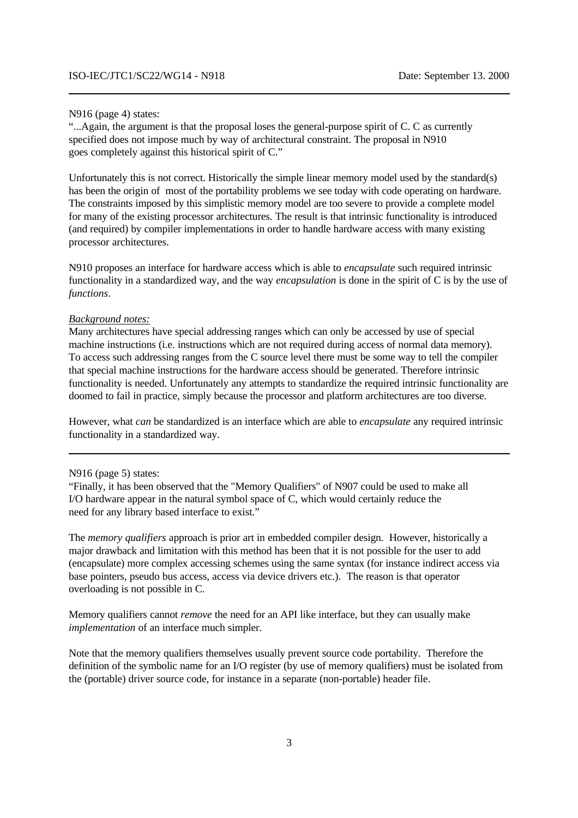#### N916 (page 4) states:

"...Again, the argument is that the proposal loses the general-purpose spirit of C. C as currently specified does not impose much by way of architectural constraint. The proposal in N910 goes completely against this historical spirit of C."

Unfortunately this is not correct. Historically the simple linear memory model used by the standard(s) has been the origin of most of the portability problems we see today with code operating on hardware. The constraints imposed by this simplistic memory model are too severe to provide a complete model for many of the existing processor architectures. The result is that intrinsic functionality is introduced (and required) by compiler implementations in order to handle hardware access with many existing processor architectures.

N910 proposes an interface for hardware access which is able to *encapsulate* such required intrinsic functionality in a standardized way, and the way *encapsulation* is done in the spirit of C is by the use of *functions*.

#### *Background notes:*

Many architectures have special addressing ranges which can only be accessed by use of special machine instructions (i.e. instructions which are not required during access of normal data memory). To access such addressing ranges from the C source level there must be some way to tell the compiler that special machine instructions for the hardware access should be generated. Therefore intrinsic functionality is needed. Unfortunately any attempts to standardize the required intrinsic functionality are doomed to fail in practice, simply because the processor and platform architectures are too diverse.

However, what *can* be standardized is an interface which are able to *encapsulate* any required intrinsic functionality in a standardized way.

#### N916 (page 5) states:

"Finally, it has been observed that the "Memory Qualifiers" of N907 could be used to make all I/O hardware appear in the natural symbol space of C, which would certainly reduce the need for any library based interface to exist."

The *memory qualifiers* approach is prior art in embedded compiler design. However, historically a major drawback and limitation with this method has been that it is not possible for the user to add (encapsulate) more complex accessing schemes using the same syntax (for instance indirect access via base pointers, pseudo bus access, access via device drivers etc.). The reason is that operator overloading is not possible in C.

Memory qualifiers cannot *remove* the need for an API like interface, but they can usually make *implementation* of an interface much simpler.

Note that the memory qualifiers themselves usually prevent source code portability. Therefore the definition of the symbolic name for an I/O register (by use of memory qualifiers) must be isolated from the (portable) driver source code, for instance in a separate (non-portable) header file.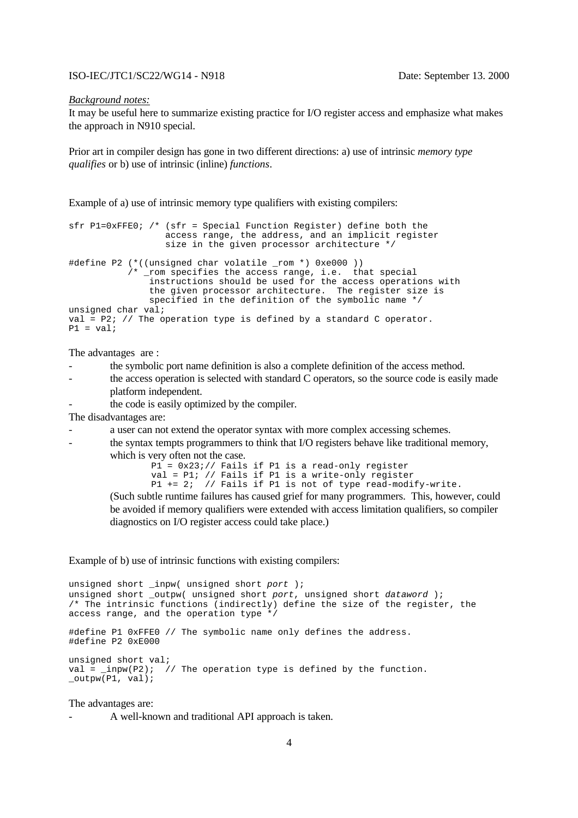#### ISO-IEC/JTC1/SC22/WG14 - N918 Date: September 13. 2000

#### *Background notes:*

It may be useful here to summarize existing practice for I/O register access and emphasize what makes the approach in N910 special.

Prior art in compiler design has gone in two different directions: a) use of intrinsic *memory type qualifies* or b) use of intrinsic (inline) *functions*.

Example of a) use of intrinsic memory type qualifiers with existing compilers:

```
sfr P1=0xFFE0; /* (sfr = Special Function Register) define both the 
                   access range, the address, and an implicit register 
                   size in the given processor architecture */
#define P2 (*((unsigned char volatile _rom *) 0xe000 )) 
            /* _rom specifies the access range, i.e. that special
                instructions should be used for the access operations with
                the given processor architecture. The register size is
                specified in the definition of the symbolic name */
unsigned char val;
val = P2; // The operation type is defined by a standard C operator.
P1 = val
```
The advantages are :

- the symbolic port name definition is also a complete definition of the access method.
- the access operation is selected with standard C operators, so the source code is easily made platform independent.
- the code is easily optimized by the compiler.

The disadvantages are:

- a user can not extend the operator syntax with more complex accessing schemes.
- the syntax tempts programmers to think that I/O registers behave like traditional memory, which is very often not the case.

```
P1 = 0x23i// Fails if P1 is a read-only register
val = P1; // Fails if P1 is a write-only register
P1 += 2; // Fails if P1 is not of type read-modify-write.
```
(Such subtle runtime failures has caused grief for many programmers. This, however, could be avoided if memory qualifiers were extended with access limitation qualifiers, so compiler diagnostics on I/O register access could take place.)

Example of b) use of intrinsic functions with existing compilers:

```
unsigned short _inpw( unsigned short port );
unsigned short _outpw( unsigned short port, unsigned short dataword );
/* The intrinsic functions (indirectly) define the size of the register, the
access range, and the operation type */
#define P1 0xFFE0 // The symbolic name only defines the address.
#define P2 0xE000
unsigned short val;
val = \text{impw}(P2); // The operation type is defined by the function.
_outpw(P1, val);
```
#### The advantages are:

- A well-known and traditional API approach is taken.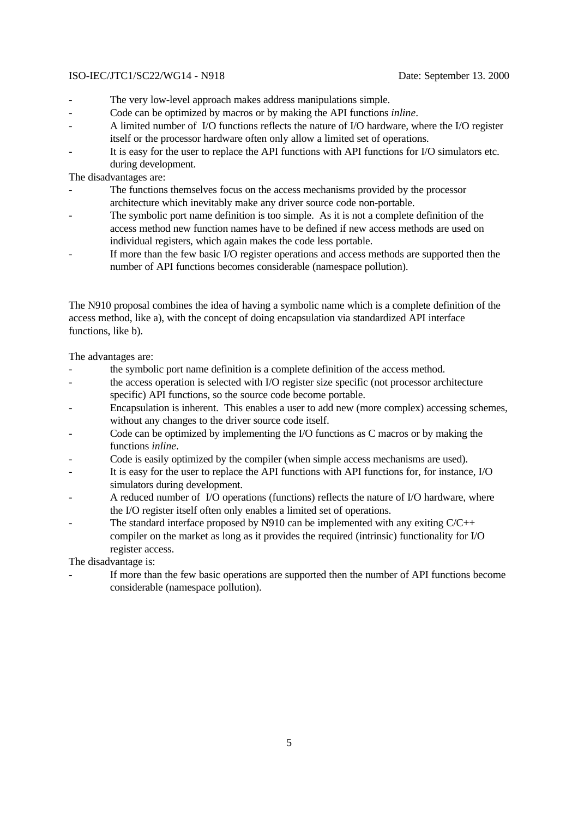## ISO-IEC/JTC1/SC22/WG14 - N918 Date: September 13. 2000

- The very low-level approach makes address manipulations simple.
- Code can be optimized by macros or by making the API functions *inline*.
- A limited number of I/O functions reflects the nature of I/O hardware, where the I/O register itself or the processor hardware often only allow a limited set of operations.
- It is easy for the user to replace the API functions with API functions for I/O simulators etc. during development.

The disadvantages are:

- The functions themselves focus on the access mechanisms provided by the processor architecture which inevitably make any driver source code non-portable.
- The symbolic port name definition is too simple. As it is not a complete definition of the access method new function names have to be defined if new access methods are used on individual registers, which again makes the code less portable.
- If more than the few basic I/O register operations and access methods are supported then the number of API functions becomes considerable (namespace pollution).

The N910 proposal combines the idea of having a symbolic name which is a complete definition of the access method, like a), with the concept of doing encapsulation via standardized API interface functions, like b).

The advantages are:

- the symbolic port name definition is a complete definition of the access method.
- the access operation is selected with I/O register size specific (not processor architecture specific) API functions, so the source code become portable.
- Encapsulation is inherent. This enables a user to add new (more complex) accessing schemes, without any changes to the driver source code itself.
- Code can be optimized by implementing the I/O functions as C macros or by making the functions *inline*.
- Code is easily optimized by the compiler (when simple access mechanisms are used).
- It is easy for the user to replace the API functions with API functions for, for instance, I/O simulators during development.
- A reduced number of I/O operations (functions) reflects the nature of I/O hardware, where the I/O register itself often only enables a limited set of operations.
- The standard interface proposed by N910 can be implemented with any exiting  $C/C++$ compiler on the market as long as it provides the required (intrinsic) functionality for I/O register access.

The disadvantage is:

If more than the few basic operations are supported then the number of API functions become considerable (namespace pollution).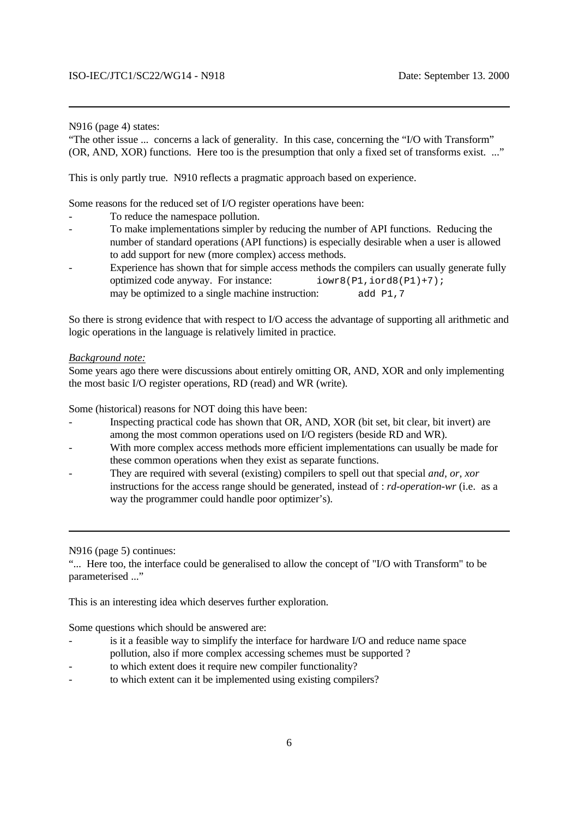#### N916 (page 4) states:

"The other issue ... concerns a lack of generality. In this case, concerning the "I/O with Transform" (OR, AND, XOR) functions. Here too is the presumption that only a fixed set of transforms exist. ..."

This is only partly true. N910 reflects a pragmatic approach based on experience.

Some reasons for the reduced set of I/O register operations have been:

- To reduce the namespace pollution.
- To make implementations simpler by reducing the number of API functions. Reducing the number of standard operations (API functions) is especially desirable when a user is allowed to add support for new (more complex) access methods.
- Experience has shown that for simple access methods the compilers can usually generate fully optimized code anyway. For instance:  $i \text{ over } 8 (P1, i \text{ or } 8 (P1) + 7);$ may be optimized to a single machine instruction: add P1,7

So there is strong evidence that with respect to I/O access the advantage of supporting all arithmetic and logic operations in the language is relatively limited in practice.

## *Background note:*

Some years ago there were discussions about entirely omitting OR, AND, XOR and only implementing the most basic I/O register operations, RD (read) and WR (write).

Some (historical) reasons for NOT doing this have been:

- Inspecting practical code has shown that OR, AND, XOR (bit set, bit clear, bit invert) are among the most common operations used on I/O registers (beside RD and WR).
- With more complex access methods more efficient implementations can usually be made for these common operations when they exist as separate functions.
- They are required with several (existing) compilers to spell out that special *and, or, xor* instructions for the access range should be generated, instead of : *rd-operation-wr* (i.e. as a way the programmer could handle poor optimizer's).

N916 (page 5) continues:

"... Here too, the interface could be generalised to allow the concept of "I/O with Transform" to be parameterised ..."

This is an interesting idea which deserves further exploration.

Some questions which should be answered are:

- is it a feasible way to simplify the interface for hardware I/O and reduce name space pollution, also if more complex accessing schemes must be supported ?
- to which extent does it require new compiler functionality?
- to which extent can it be implemented using existing compilers?